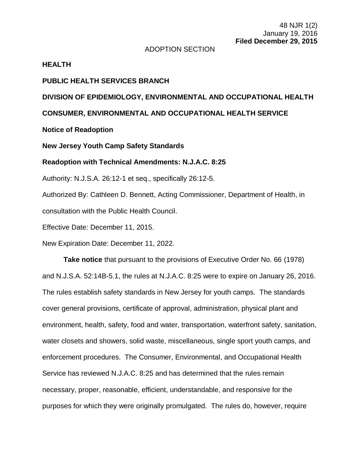#### ADOPTION SECTION

#### **HEALTH**

### **PUBLIC HEALTH SERVICES BRANCH**

# **DIVISION OF EPIDEMIOLOGY, ENVIRONMENTAL AND OCCUPATIONAL HEALTH**

## **CONSUMER, ENVIRONMENTAL AND OCCUPATIONAL HEALTH SERVICE**

## **Notice of Readoption**

#### **New Jersey Youth Camp Safety Standards**

#### **Readoption with Technical Amendments: N.J.A.C. 8:25**

Authority: N.J.S.A. 26:12-1 et seq., specifically 26:12-5.

Authorized By: Cathleen D. Bennett, Acting Commissioner, Department of Health, in consultation with the Public Health Council.

Effective Date: December 11, 2015.

New Expiration Date: December 11, 2022.

**Take notice** that pursuant to the provisions of Executive Order No. 66 (1978) and N.J.S.A. 52:14B-5.1, the rules at N.J.A.C. 8:25 were to expire on January 26, 2016. The rules establish safety standards in New Jersey for youth camps. The standards cover general provisions, certificate of approval, administration, physical plant and environment, health, safety, food and water, transportation, waterfront safety, sanitation, water closets and showers, solid waste, miscellaneous, single sport youth camps, and enforcement procedures. The Consumer, Environmental, and Occupational Health Service has reviewed N.J.A.C. 8:25 and has determined that the rules remain necessary, proper, reasonable, efficient, understandable, and responsive for the purposes for which they were originally promulgated. The rules do, however, require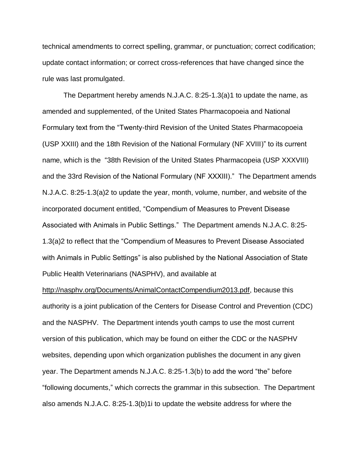technical amendments to correct spelling, grammar, or punctuation; correct codification; update contact information; or correct cross-references that have changed since the rule was last promulgated.

The Department hereby amends N.J.A.C. 8:25-1.3(a)1 to update the name, as amended and supplemented, of the United States Pharmacopoeia and National Formulary text from the "Twenty-third Revision of the United States Pharmacopoeia (USP XXIII) and the 18th Revision of the National Formulary (NF XVIII)" to its current name, which is the "38th Revision of the United States Pharmacopeia (USP XXXVIII) and the 33rd Revision of the National Formulary (NF XXXIII)." The Department amends N.J.A.C. 8:25-1.3(a)2 to update the year, month, volume, number, and website of the incorporated document entitled, "Compendium of Measures to Prevent Disease Associated with Animals in Public Settings." The Department amends N.J.A.C. 8:25- 1.3(a)2 to reflect that the "Compendium of Measures to Prevent Disease Associated with Animals in Public Settings" is also published by the National Association of State Public Health Veterinarians (NASPHV), and available at

http://nasphv.org/Documents/AnimalContactCompendium2013.pdf, because this authority is a joint publication of the Centers for Disease Control and Prevention (CDC) and the NASPHV. The Department intends youth camps to use the most current version of this publication, which may be found on either the CDC or the NASPHV websites, depending upon which organization publishes the document in any given year. The Department amends N.J.A.C. 8:25-1.3(b) to add the word "the" before "following documents," which corrects the grammar in this subsection. The Department also amends N.J.A.C. 8:25-1.3(b)1i to update the website address for where the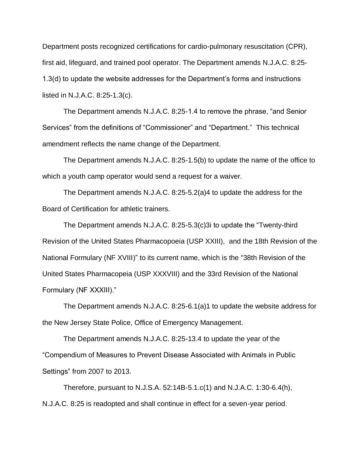Department posts recognized certifications for cardio-pulmonary resuscitation (CPR), first aid, lifeguard, and trained pool operator. The Department amends N.J.A.C. 8:25- 1.3(d) to update the website addresses for the Department's forms and instructions listed in N.J.A.C. 8:25-1.3(c).

The Department amends N.J.A.C. 8:25-1.4 to remove the phrase, "and Senior Services" from the definitions of "Commissioner" and "Department." This technical amendment reflects the name change of the Department.

The Department amends N.J.A.C. 8:25-1.5(b) to update the name of the office to which a youth camp operator would send a request for a waiver.

The Department amends N.J.A.C. 8:25-5.2(a)4 to update the address for the Board of Certification for athletic trainers.

The Department amends N.J.A.C. 8:25-5.3(c)3i to update the "Twenty-third Revision of the United States Pharmacopoeia (USP XXIII), and the 18th Revision of the National Formulary (NF XVIII)" to its current name, which is the "38th Revision of the United States Pharmacopeia (USP XXXVIII) and the 33rd Revision of the National Formulary (NF XXXIII)."

The Department amends N.J.A.C. 8:25-6.1(a)1 to update the website address for the New Jersey State Police, Office of Emergency Management.

The Department amends N.J.A.C. 8:25-13.4 to update the year of the "Compendium of Measures to Prevent Disease Associated with Animals in Public Settings" from 2007 to 2013.

Therefore, pursuant to N.J.S.A. 52:14B-5.1.c(1) and N.J.A.C. 1:30-6.4(h), N.J.A.C. 8:25 is readopted and shall continue in effect for a seven-year period.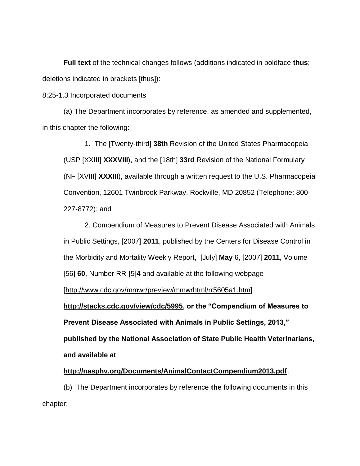**Full text** of the technical changes follows (additions indicated in boldface **thus**; deletions indicated in brackets [thus]):

8:25-1.3 Incorporated documents

(a) The Department incorporates by reference, as amended and supplemented, in this chapter the following:

1. The [Twenty-third] **38th** Revision of the United States Pharmacopeia (USP [XXIII] **XXXVIII**), and the [18th] **33rd** Revision of the National Formulary (NF [XVIII] **XXXIII**), available through a written request to the U.S. Pharmacopeial Convention, 12601 Twinbrook Parkway, Rockville, MD 20852 (Telephone: 800- 227-8772); and

2. Compendium of Measures to Prevent Disease Associated with Animals in Public Settings, [2007] **2011**, published by the Centers for Disease Control in the Morbidity and Mortality Weekly Report, [July] **May** 6, [2007] **2011**, Volume [56] **60**, Number RR-[5]**4** and available at the following webpage

[http://www.cdc.gov/mmwr/preview/mmwrhtml/rr5605a1.htm]

**http://stacks.cdc.gov/view/cdc/5995, or the "Compendium of Measures to Prevent Disease Associated with Animals in Public Settings, 2013," published by the National Association of State Public Health Veterinarians, and available at**

## **http://nasphv.org/Documents/AnimalContactCompendium2013.pdf**.

(b) The Department incorporates by reference **the** following documents in this chapter: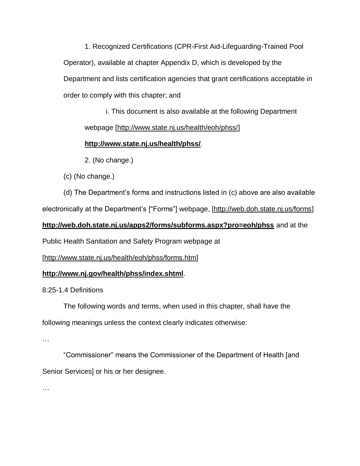1. Recognized Certifications (CPR-First Aid-Lifeguarding-Trained Pool Operator), available at chapter Appendix D, which is developed by the Department and lists certification agencies that grant certifications acceptable in order to comply with this chapter; and

i. This document is also available at the following Department webpage [http://www.state.nj.us/health/eoh/phss/]

# **http://www.state.nj.us/health/phss/**.

2. (No change.)

(c) (No change.)

(d) The Department's forms and instructions listed in (c) above are also available electronically at the Department's ["Forms"] webpage, [http://web.doh.state.nj.us/forms]

# **http://web.doh.state.nj.us/apps2/forms/subforms.aspx?pro=eoh/phss** and at the

Public Health Sanitation and Safety Program webpage at

[http://www.state.nj.us/health/eoh/phss/forms.htm]

# **http://www.nj.gov/health/phss/index.shtml**.

8:25-1.4 Definitions

The following words and terms, when used in this chapter, shall have the following meanings unless the context clearly indicates otherwise:

…

"Commissioner" means the Commissioner of the Department of Health [and Senior Services] or his or her designee.

…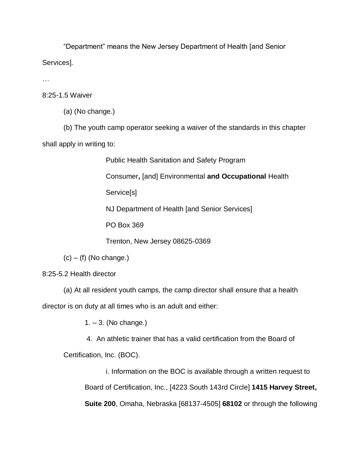"Department" means the New Jersey Department of Health [and Senior Services].

…

8:25-1.5 Waiver

(a) (No change.)

(b) The youth camp operator seeking a waiver of the standards in this chapter shall apply in writing to:

Public Health Sanitation and Safety Program

Consumer**,** [and] Environmental **and Occupational** Health

Service[s]

NJ Department of Health [and Senior Services]

PO Box 369

Trenton, New Jersey 08625-0369

 $(c) - (f)$  (No change.)

8:25-5.2 Health director

(a) At all resident youth camps, the camp director shall ensure that a health director is on duty at all times who is an adult and either:

1. – 3. (No change.)

4. An athletic trainer that has a valid certification from the Board of

Certification, Inc. (BOC).

i. Information on the BOC is available through a written request to Board of Certification, Inc., [4223 South 143rd Circle] **1415 Harvey Street, Suite 200**, Omaha, Nebraska [68137-4505] **68102** or through the following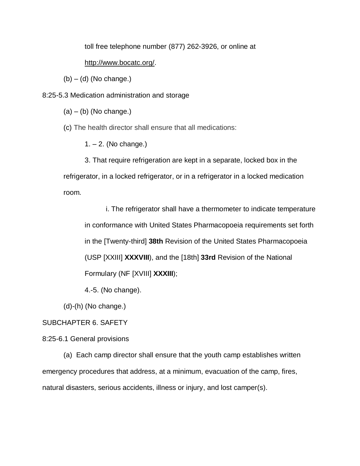toll free telephone number (877) 262-3926, or online at

### http://www.bocatc.org/.

 $(b) - (d)$  (No change.)

8:25-5.3 Medication administration and storage

 $(a) - (b)$  (No change.)

(c) The health director shall ensure that all medications:

1. – 2. (No change.)

3. That require refrigeration are kept in a separate, locked box in the refrigerator, in a locked refrigerator, or in a refrigerator in a locked medication room.

i. The refrigerator shall have a thermometer to indicate temperature in conformance with United States Pharmacopoeia requirements set forth in the [Twenty-third] **38th** Revision of the United States Pharmacopoeia (USP [XXIII] **XXXVIII**), and the [18th] **33rd** Revision of the National Formulary (NF [XVIII] **XXXIII**);

4.-5. (No change).

(d)-(h) (No change.)

## SUBCHAPTER 6. SAFETY

### 8:25-6.1 General provisions

(a) Each camp director shall ensure that the youth camp establishes written emergency procedures that address, at a minimum, evacuation of the camp, fires, natural disasters, serious accidents, illness or injury, and lost camper(s).